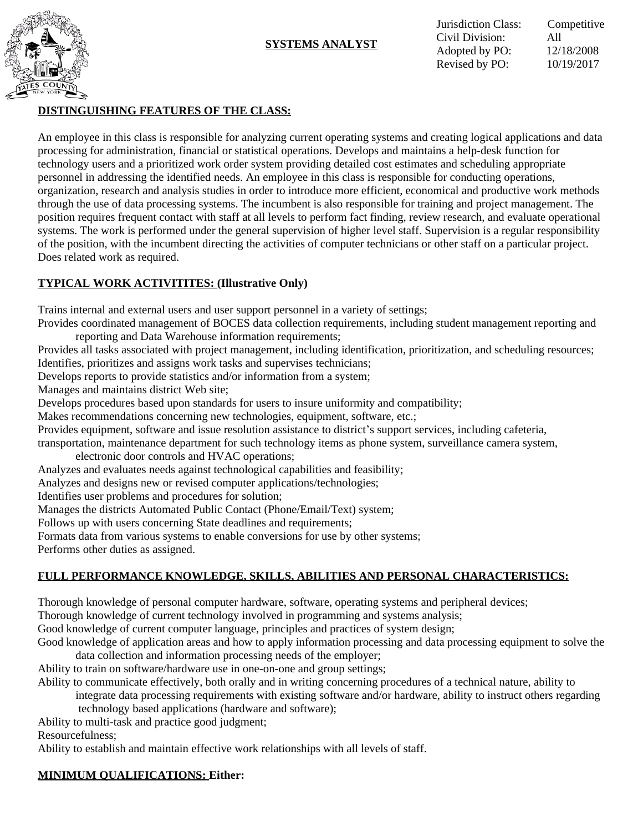



Jurisdiction Class: Competitive Civil Division: All Adopted by PO: 12/18/2008 Revised by PO: 10/19/2017

## **DISTINGUISHING FEATURES OF THE CLASS:**

An employee in this class is responsible for analyzing current operating systems and creating logical applications and data processing for administration, financial or statistical operations. Develops and maintains a help-desk function for technology users and a prioritized work order system providing detailed cost estimates and scheduling appropriate personnel in addressing the identified needs. An employee in this class is responsible for conducting operations, organization, research and analysis studies in order to introduce more efficient, economical and productive work methods through the use of data processing systems. The incumbent is also responsible for training and project management. The position requires frequent contact with staff at all levels to perform fact finding, review research, and evaluate operational systems. The work is performed under the general supervision of higher level staff. Supervision is a regular responsibility of the position, with the incumbent directing the activities of computer technicians or other staff on a particular project. Does related work as required.

## **TYPICAL WORK ACTIVITITES: (Illustrative Only)**

Trains internal and external users and user support personnel in a variety of settings;

Provides coordinated management of BOCES data collection requirements, including student management reporting and reporting and Data Warehouse information requirements;

Provides all tasks associated with project management, including identification, prioritization, and scheduling resources; Identifies, prioritizes and assigns work tasks and supervises technicians;

Develops reports to provide statistics and/or information from a system;

Manages and maintains district Web site;

Develops procedures based upon standards for users to insure uniformity and compatibility;

Makes recommendations concerning new technologies, equipment, software, etc.;

Provides equipment, software and issue resolution assistance to district's support services, including cafeteria,

transportation, maintenance department for such technology items as phone system, surveillance camera system,

electronic door controls and HVAC operations;

Analyzes and evaluates needs against technological capabilities and feasibility;

Analyzes and designs new or revised computer applications/technologies;

Identifies user problems and procedures for solution;

Manages the districts Automated Public Contact (Phone/Email/Text) system;

Follows up with users concerning State deadlines and requirements;

Formats data from various systems to enable conversions for use by other systems;

Performs other duties as assigned.

# **FULL PERFORMANCE KNOWLEDGE, SKILLS, ABILITIES AND PERSONAL CHARACTERISTICS:**

Thorough knowledge of personal computer hardware, software, operating systems and peripheral devices;

Thorough knowledge of current technology involved in programming and systems analysis;

Good knowledge of current computer language, principles and practices of system design;

Good knowledge of application areas and how to apply information processing and data processing equipment to solve the data collection and information processing needs of the employer;

Ability to train on software/hardware use in one-on-one and group settings;

Ability to communicate effectively, both orally and in writing concerning procedures of a technical nature, ability to

integrate data processing requirements with existing software and/or hardware, ability to instruct others regarding technology based applications (hardware and software);

Ability to multi-task and practice good judgment;

Resourcefulness;

Ability to establish and maintain effective work relationships with all levels of staff.

## **MINIMUM QUALIFICATIONS: Either:**